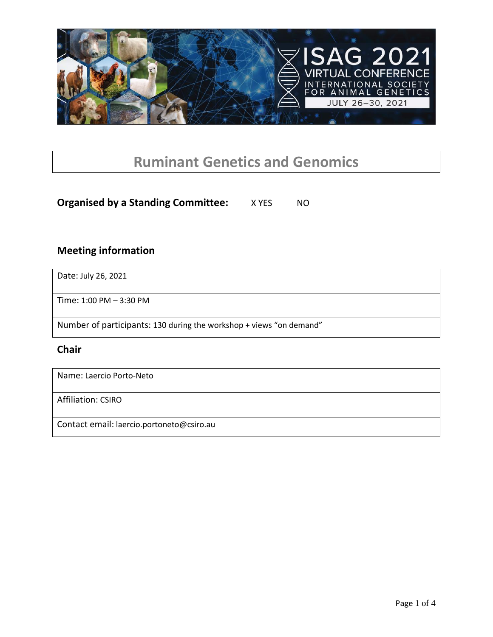

# **Ruminant Genetics and Genomics**

## **Organised by a Standing Committee:** X YES NO

### **Meeting information**

Date: July 26, 2021

Time: 1:00 PM – 3:30 PM

Number of participants: 130 during the workshop + views "on demand"

#### **Chair**

Name: Laercio Porto-Neto

Affiliation: CSIRO

Contact email: laercio.portoneto@csiro.au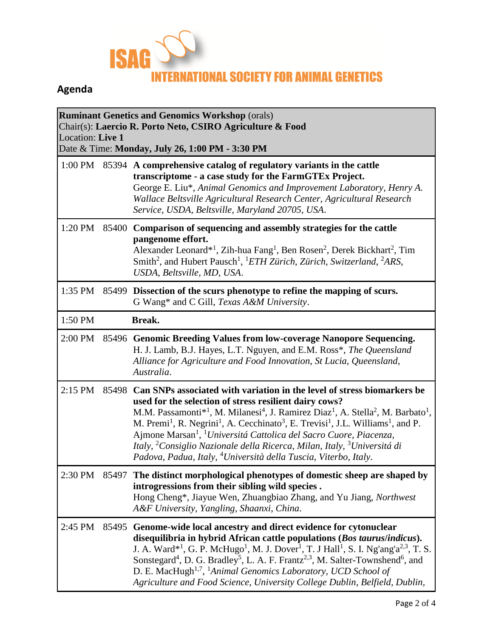

# **Agenda**

| <b>Ruminant Genetics and Genomics Workshop (orals)</b><br>Chair(s): Laercio R. Porto Neto, CSIRO Agriculture & Food<br>Location: Live 1<br>Date & Time: Monday, July 26, 1:00 PM - 3:30 PM |       |                                                                                                                                                                                                                                                                                                                                                                                                                                                                                                                                                                                                                                                                                                                        |  |  |  |
|--------------------------------------------------------------------------------------------------------------------------------------------------------------------------------------------|-------|------------------------------------------------------------------------------------------------------------------------------------------------------------------------------------------------------------------------------------------------------------------------------------------------------------------------------------------------------------------------------------------------------------------------------------------------------------------------------------------------------------------------------------------------------------------------------------------------------------------------------------------------------------------------------------------------------------------------|--|--|--|
| 1:00 PM                                                                                                                                                                                    |       | 85394 A comprehensive catalog of regulatory variants in the cattle<br>transcriptome - a case study for the FarmGTEx Project.<br>George E. Liu*, Animal Genomics and Improvement Laboratory, Henry A.<br>Wallace Beltsville Agricultural Research Center, Agricultural Research<br>Service, USDA, Beltsville, Maryland 20705, USA.                                                                                                                                                                                                                                                                                                                                                                                      |  |  |  |
| 1:20 PM                                                                                                                                                                                    | 85400 | Comparison of sequencing and assembly strategies for the cattle<br>pangenome effort.<br>Alexander Leonard <sup>*1</sup> , Zih-hua Fang <sup>1</sup> , Ben Rosen <sup>2</sup> , Derek Bickhart <sup>2</sup> , Tim<br>Smith <sup>2</sup> , and Hubert Pausch <sup>1</sup> , <sup>1</sup> ETH Zürich, Zürich, Switzerland, <sup>2</sup> ARS,<br>USDA, Beltsville, MD, USA.                                                                                                                                                                                                                                                                                                                                                |  |  |  |
| 1:35 PM                                                                                                                                                                                    |       | 85499 Dissection of the scurs phenotype to refine the mapping of scurs.<br>G Wang* and C Gill, Texas A&M University.                                                                                                                                                                                                                                                                                                                                                                                                                                                                                                                                                                                                   |  |  |  |
| 1:50 PM                                                                                                                                                                                    |       | Break.                                                                                                                                                                                                                                                                                                                                                                                                                                                                                                                                                                                                                                                                                                                 |  |  |  |
| 2:00 PM                                                                                                                                                                                    |       | 85496 Genomic Breeding Values from low-coverage Nanopore Sequencing.<br>H. J. Lamb, B.J. Hayes, L.T. Nguyen, and E.M. Ross*, The Queensland<br>Alliance for Agriculture and Food Innovation, St Lucia, Queensland,<br>Australia.                                                                                                                                                                                                                                                                                                                                                                                                                                                                                       |  |  |  |
| 2:15 PM                                                                                                                                                                                    |       | 85498 Can SNPs associated with variation in the level of stress biomarkers be<br>used for the selection of stress resilient dairy cows?<br>M.M. Passamonti <sup>*1</sup> , M. Milanesi <sup>4</sup> , J. Ramirez Diaz <sup>1</sup> , A. Stella <sup>2</sup> , M. Barbato <sup>1</sup> ,<br>M. Premi <sup>1</sup> , R. Negrini <sup>1</sup> , A. Cecchinato <sup>3</sup> , E. Trevisi <sup>1</sup> , J.L. Williams <sup>1</sup> , and P.<br>Ajmone Marsan <sup>1</sup> , <sup>1</sup> Universitá Cattolica del Sacro Cuore, Piacenza,<br>Italy, <sup>2</sup> Consiglio Nazionale della Ricerca, Milan, Italy, <sup>3</sup> Universitá di<br>Padova, Padua, Italy, <sup>4</sup> Università della Tuscia, Viterbo, Italy. |  |  |  |
|                                                                                                                                                                                            |       | 2:30 PM 85497 The distinct morphological phenotypes of domestic sheep are shaped by<br>introgressions from their sibling wild species.<br>Hong Cheng*, Jiayue Wen, Zhuangbiao Zhang, and Yu Jiang, Northwest<br>A&F University, Yangling, Shaanxi, China.                                                                                                                                                                                                                                                                                                                                                                                                                                                              |  |  |  |
| 2:45 PM                                                                                                                                                                                    | 85495 | Genome-wide local ancestry and direct evidence for cytonuclear<br>disequilibria in hybrid African cattle populations (Bos taurus/indicus).<br>J. A. Ward* <sup>1</sup> , G. P. McHugo <sup>1</sup> , M. J. Dover <sup>1</sup> , T. J Hall <sup>1</sup> , S. I. Ng'ang'a <sup>2,3</sup> , T. S.<br>Sonstegard <sup>4</sup> , D. G. Bradley <sup>5</sup> , L. A. F. Frantz <sup>2,3</sup> , M. Salter-Townshend <sup>6</sup> , and<br>D. E. MacHugh <sup>1,7</sup> , <sup>1</sup> Animal Genomics Laboratory, UCD School of<br>Agriculture and Food Science, University College Dublin, Belfield, Dublin,                                                                                                                |  |  |  |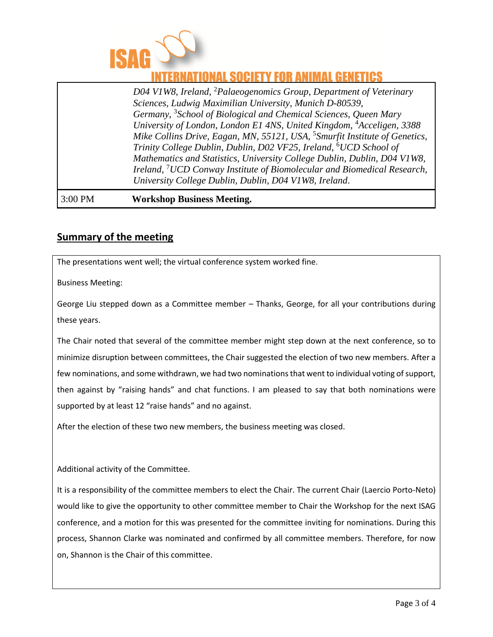

## ATIONAL SOCIETY FOR ANIMAL GENETICS

*D04 V1W8, Ireland*, <sup>2</sup>*Palaeogenomics Group, Department of Veterinary Sciences, Ludwig Maximilian University*, *Munich D-80539, Germany*, 3 *School of Biological and Chemical Sciences, Queen Mary University of London*, *London E1 4NS, United Kingdom*, <sup>4</sup>*Acceligen*, *3388 Mike Collins Drive, Eagan, MN, 55121, USA*, 5 *Smurfit Institute of Genetics, Trinity College Dublin*, *Dublin, D02 VF25, Ireland*, <sup>6</sup>*UCD School of Mathematics and Statistics, University College Dublin*, *Dublin, D04 V1W8, Ireland*, <sup>7</sup>*UCD Conway Institute of Biomolecular and Biomedical Research, University College Dublin*, *Dublin, D04 V1W8, Ireland*.

#### 3:00 PM **Workshop Business Meeting.**

### **Summary of the meeting**

The presentations went well; the virtual conference system worked fine.

Business Meeting:

George Liu stepped down as a Committee member – Thanks, George, for all your contributions during these years.

The Chair noted that several of the committee member might step down at the next conference, so to minimize disruption between committees, the Chair suggested the election of two new members. After a few nominations, and some withdrawn, we had two nominations that went to individual voting of support, then against by "raising hands" and chat functions. I am pleased to say that both nominations were supported by at least 12 "raise hands" and no against.

After the election of these two new members, the business meeting was closed.

Additional activity of the Committee.

It is a responsibility of the committee members to elect the Chair. The current Chair (Laercio Porto-Neto) would like to give the opportunity to other committee member to Chair the Workshop for the next ISAG conference, and a motion for this was presented for the committee inviting for nominations. During this process, Shannon Clarke was nominated and confirmed by all committee members. Therefore, for now on, Shannon is the Chair of this committee.